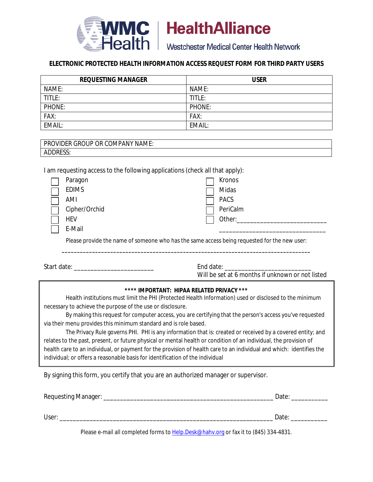

**IMC** | HealthAlliance

ealth Westchester Medical Center Health Network

# **ELECTRONIC PROTECTED HEALTH INFORMATION ACCESS REQUEST FORM FOR THIRD PARTY USERS**

| <b>REQUESTING MANAGER</b> | <b>USER</b> |
|---------------------------|-------------|
| NAME:                     | NAME:       |
| TITLE:                    | TITLE:      |
| PHONE:                    | PHONE:      |
| FAX:                      | FAX:        |
| EMAIL:                    | EMAIL:      |

| <b>PROVIDER GROUP OR CO</b><br><b>OMPANY NAME:</b> |  |
|----------------------------------------------------|--|
| <b>ADDRESS</b>                                     |  |

I am requesting access to the following applications (check all that apply):

| Paragon       | Kronos      |
|---------------|-------------|
| <b>EDIMS</b>  | Midas       |
| AMI           | <b>PACS</b> |
| Cipher/Orchid | PeriCalm    |
| <b>HEV</b>    | Other:      |
| E-Mail        |             |

Please provide the name of someone who has the same access being requested for the new user: **\_\_\_\_\_\_\_\_\_\_\_\_\_\_\_\_\_\_\_\_\_\_\_\_\_\_\_\_\_\_\_\_\_\_\_\_\_\_\_\_\_\_\_\_\_\_\_\_\_\_\_\_\_\_\_\_\_\_\_\_\_\_\_\_\_\_\_\_\_\_\_\_\_\_\_\_\_\_\_\_\_\_**

Start date: \_\_\_\_\_\_\_\_\_\_\_\_\_\_\_\_\_\_\_\_\_\_\_\_ End date: \_\_\_\_\_\_\_\_\_\_\_\_\_\_\_\_\_\_\_\_\_\_\_\_\_\_

Will be set at 6 months if unknown or not listed

## **\*\*\*\* IMPORTANT: HIPAA RELATED PRIVACY \*\*\***

Health institutions must limit the PHI (Protected Health Information) used or disclosed to the minimum necessary to achieve the purpose of the use or disclosure.

By making this request for computer access, you are certifying that the person's access you've requested via their menu provides this minimum standard and is role based.

The Privacy Rule governs PHI. PHI is any information that is: created or received by a covered entity; and relates to the past, present, or future physical or mental health or condition of an individual, the provision of health care to an individual, or payment for the provision of health care to an individual and which: identifies the individual; or offers a reasonable basis for identification of the individual

By signing this form, you certify that you are an authorized manager or supervisor.

| Requesting Manager: | Date: |
|---------------------|-------|
|                     |       |
| User:               | Date: |
|                     |       |

Please e-mail all completed forms to [Help.Desk@hahv.org](mailto:Help.Desk@hahv.org) or fax it to (845) 334-4831.